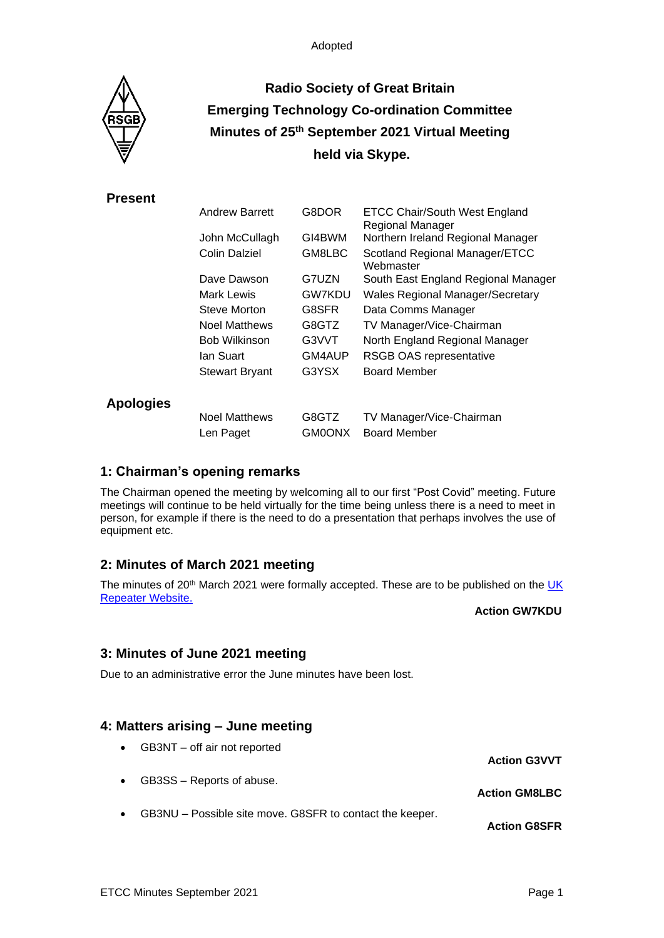

# **Radio Society of Great Britain Emerging Technology Co-ordination Committee Minutes of 25 th September 2021 Virtual Meeting held via Skype.**

## **Present**

|                  | <b>Andrew Barrett</b>             | G8DOR                  | <b>ETCC Chair/South West England</b><br><b>Regional Manager</b> |
|------------------|-----------------------------------|------------------------|-----------------------------------------------------------------|
|                  | John McCullagh                    | GI4BWM                 | Northern Ireland Regional Manager                               |
|                  | Colin Dalziel                     | GM8LBC                 | Scotland Regional Manager/ETCC<br>Webmaster                     |
|                  | Dave Dawson                       | G7UZN                  | South East England Regional Manager                             |
|                  | Mark Lewis                        | <b>GW7KDU</b>          | <b>Wales Regional Manager/Secretary</b>                         |
|                  | Steve Morton                      | G8SFR                  | Data Comms Manager                                              |
|                  | <b>Noel Matthews</b>              | G8GTZ                  | TV Manager/Vice-Chairman                                        |
|                  | <b>Bob Wilkinson</b>              | G3VVT                  | North England Regional Manager                                  |
|                  | lan Suart                         | GM4AUP                 | <b>RSGB OAS representative</b>                                  |
|                  | <b>Stewart Bryant</b>             | G3YSX                  | <b>Board Member</b>                                             |
| <b>Apologies</b> |                                   |                        |                                                                 |
|                  | <b>Noel Matthews</b><br>Len Paget | G8GTZ<br><b>GM0ONX</b> | TV Manager/Vice-Chairman<br><b>Board Member</b>                 |
|                  |                                   |                        |                                                                 |

## **1: Chairman's opening remarks**

The Chairman opened the meeting by welcoming all to our first "Post Covid" meeting. Future meetings will continue to be held virtually for the time being unless there is a need to meet in person, for example if there is the need to do a presentation that perhaps involves the use of equipment etc.

# **2: Minutes of March 2021 meeting**

The minutes of 20<sup>th</sup> March 2021 were formally accepted. These are to be published on the UK [Repeater Website.](https://www.ukrepeater.net/minutes.html)

**Action GW7KDU**

## **3: Minutes of June 2021 meeting**

Due to an administrative error the June minutes have been lost.

## **4: Matters arising – June meeting**

• GB3NT – off air not reported **Action G3VVT** GB3SS – Reports of abuse. **Action GM8LBC** • GB3NU – Possible site move. G8SFR to contact the keeper. **Action G8SFR**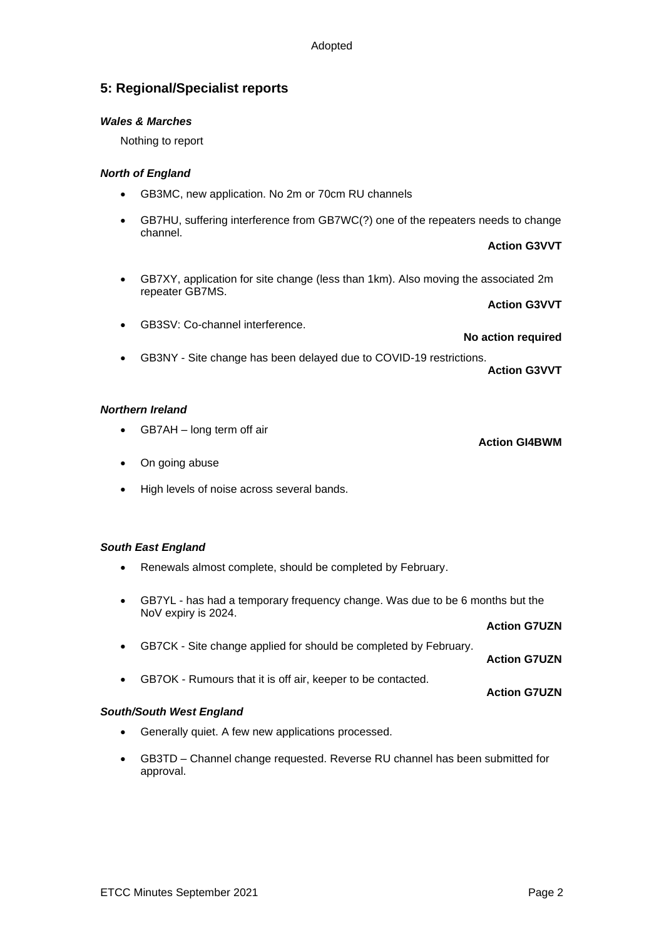## **5: Regional/Specialist reports**

#### *Wales & Marches*

Nothing to report

#### *North of England*

- GB3MC, new application. No 2m or 70cm RU channels
- GB7HU, suffering interference from GB7WC(?) one of the repeaters needs to change channel.
	- **Action G3VVT**
- GB7XY, application for site change (less than 1km). Also moving the associated 2m repeater GB7MS.

**Action G3VVT**

• GB3SV: Co-channel interference.

**No action required**

• GB3NY - Site change has been delayed due to COVID-19 restrictions.

**Action G3VVT**

**Action GI4BWM**

#### *Northern Ireland*

- GB7AH long term off air
- On going abuse
- High levels of noise across several bands.

#### *South East England*

- Renewals almost complete, should be completed by February.
- GB7YL has had a temporary frequency change. Was due to be 6 months but the NoV expiry is 2024.

|                                                                    | <b>Action G7UZN</b> |
|--------------------------------------------------------------------|---------------------|
| • GB7CK - Site change applied for should be completed by February. | <b>Action G7UZN</b> |
| GB7OK - Rumours that it is off air, keeper to be contacted.        | <b>Action G7UZN</b> |

#### *South/South West England*

- Generally quiet. A few new applications processed.
- GB3TD Channel change requested. Reverse RU channel has been submitted for approval.